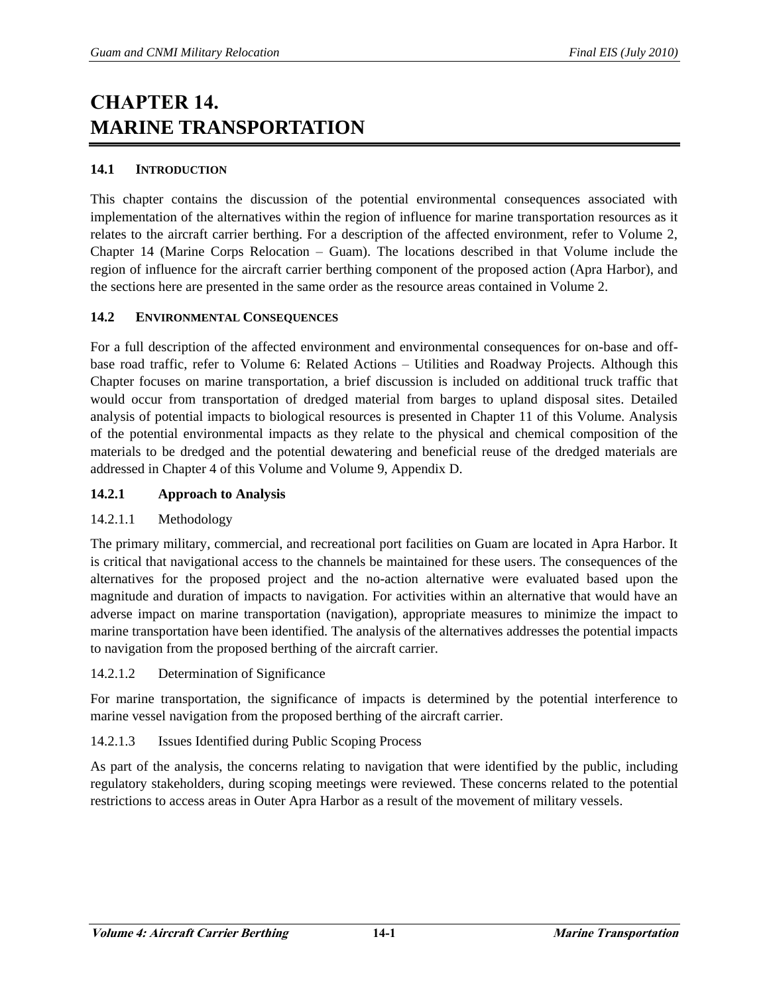# **CHAPTER 14. MARINE TRANSPORTATION**

## **14.1 INTRODUCTION**

This chapter contains the discussion of the potential environmental consequences associated with implementation of the alternatives within the region of influence for marine transportation resources as it relates to the aircraft carrier berthing. For a description of the affected environment, refer to Volume 2, Chapter 14 (Marine Corps Relocation – Guam). The locations described in that Volume include the region of influence for the aircraft carrier berthing component of the proposed action (Apra Harbor), and the sections here are presented in the same order as the resource areas contained in Volume 2.

#### **14.2 ENVIRONMENTAL CONSEQUENCES**

For a full description of the affected environment and environmental consequences for on-base and offbase road traffic, refer to Volume 6: Related Actions – Utilities and Roadway Projects. Although this Chapter focuses on marine transportation, a brief discussion is included on additional truck traffic that would occur from transportation of dredged material from barges to upland disposal sites. Detailed analysis of potential impacts to biological resources is presented in Chapter 11 of this Volume. Analysis of the potential environmental impacts as they relate to the physical and chemical composition of the materials to be dredged and the potential dewatering and beneficial reuse of the dredged materials are addressed in Chapter 4 of this Volume and Volume 9, Appendix D.

### **14.2.1 Approach to Analysis**

## 14.2.1.1 Methodology

The primary military, commercial, and recreational port facilities on Guam are located in Apra Harbor. It is critical that navigational access to the channels be maintained for these users. The consequences of the alternatives for the proposed project and the no-action alternative were evaluated based upon the magnitude and duration of impacts to navigation. For activities within an alternative that would have an adverse impact on marine transportation (navigation), appropriate measures to minimize the impact to marine transportation have been identified. The analysis of the alternatives addresses the potential impacts to navigation from the proposed berthing of the aircraft carrier.

#### 14.2.1.2 Determination of Significance

For marine transportation, the significance of impacts is determined by the potential interference to marine vessel navigation from the proposed berthing of the aircraft carrier.

#### 14.2.1.3 Issues Identified during Public Scoping Process

As part of the analysis, the concerns relating to navigation that were identified by the public, including regulatory stakeholders, during scoping meetings were reviewed. These concerns related to the potential restrictions to access areas in Outer Apra Harbor as a result of the movement of military vessels.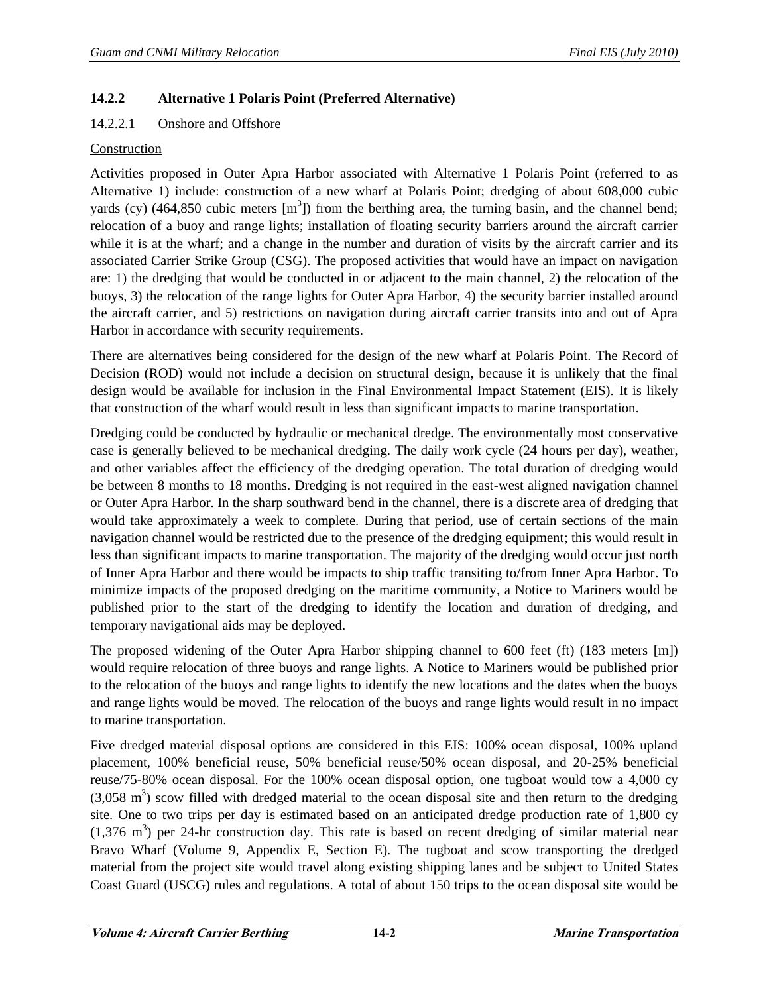#### **14.2.2 Alternative 1 Polaris Point (Preferred Alternative)**

#### 14.2.2.1 Onshore and Offshore

#### Construction

Activities proposed in Outer Apra Harbor associated with Alternative 1 Polaris Point (referred to as Alternative 1) include: construction of a new wharf at Polaris Point; dredging of about 608,000 cubic yards (cy) (464,850 cubic meters  $[m^3]$ ) from the berthing area, the turning basin, and the channel bend; relocation of a buoy and range lights; installation of floating security barriers around the aircraft carrier while it is at the wharf; and a change in the number and duration of visits by the aircraft carrier and its associated Carrier Strike Group (CSG). The proposed activities that would have an impact on navigation are: 1) the dredging that would be conducted in or adjacent to the main channel, 2) the relocation of the buoys, 3) the relocation of the range lights for Outer Apra Harbor, 4) the security barrier installed around the aircraft carrier, and 5) restrictions on navigation during aircraft carrier transits into and out of Apra Harbor in accordance with security requirements.

There are alternatives being considered for the design of the new wharf at Polaris Point. The Record of Decision (ROD) would not include a decision on structural design, because it is unlikely that the final design would be available for inclusion in the Final Environmental Impact Statement (EIS). It is likely that construction of the wharf would result in less than significant impacts to marine transportation.

Dredging could be conducted by hydraulic or mechanical dredge. The environmentally most conservative case is generally believed to be mechanical dredging. The daily work cycle (24 hours per day), weather, and other variables affect the efficiency of the dredging operation. The total duration of dredging would be between 8 months to 18 months. Dredging is not required in the east-west aligned navigation channel or Outer Apra Harbor. In the sharp southward bend in the channel, there is a discrete area of dredging that would take approximately a week to complete. During that period, use of certain sections of the main navigation channel would be restricted due to the presence of the dredging equipment; this would result in less than significant impacts to marine transportation. The majority of the dredging would occur just north of Inner Apra Harbor and there would be impacts to ship traffic transiting to/from Inner Apra Harbor. To minimize impacts of the proposed dredging on the maritime community, a Notice to Mariners would be published prior to the start of the dredging to identify the location and duration of dredging, and temporary navigational aids may be deployed.

The proposed widening of the Outer Apra Harbor shipping channel to 600 feet (ft) (183 meters [m]) would require relocation of three buoys and range lights. A Notice to Mariners would be published prior to the relocation of the buoys and range lights to identify the new locations and the dates when the buoys and range lights would be moved. The relocation of the buoys and range lights would result in no impact to marine transportation.

Five dredged material disposal options are considered in this EIS: 100% ocean disposal, 100% upland placement, 100% beneficial reuse, 50% beneficial reuse/50% ocean disposal, and 20-25% beneficial reuse/75-80% ocean disposal. For the 100% ocean disposal option, one tugboat would tow a 4,000 cy  $(3,058 \text{ m}^3)$  scow filled with dredged material to the ocean disposal site and then return to the dredging site. One to two trips per day is estimated based on an anticipated dredge production rate of 1,800 cy  $(1,376 \text{ m}^3)$  per 24-hr construction day. This rate is based on recent dredging of similar material near Bravo Wharf (Volume 9, Appendix E, Section E). The tugboat and scow transporting the dredged material from the project site would travel along existing shipping lanes and be subject to United States Coast Guard (USCG) rules and regulations. A total of about 150 trips to the ocean disposal site would be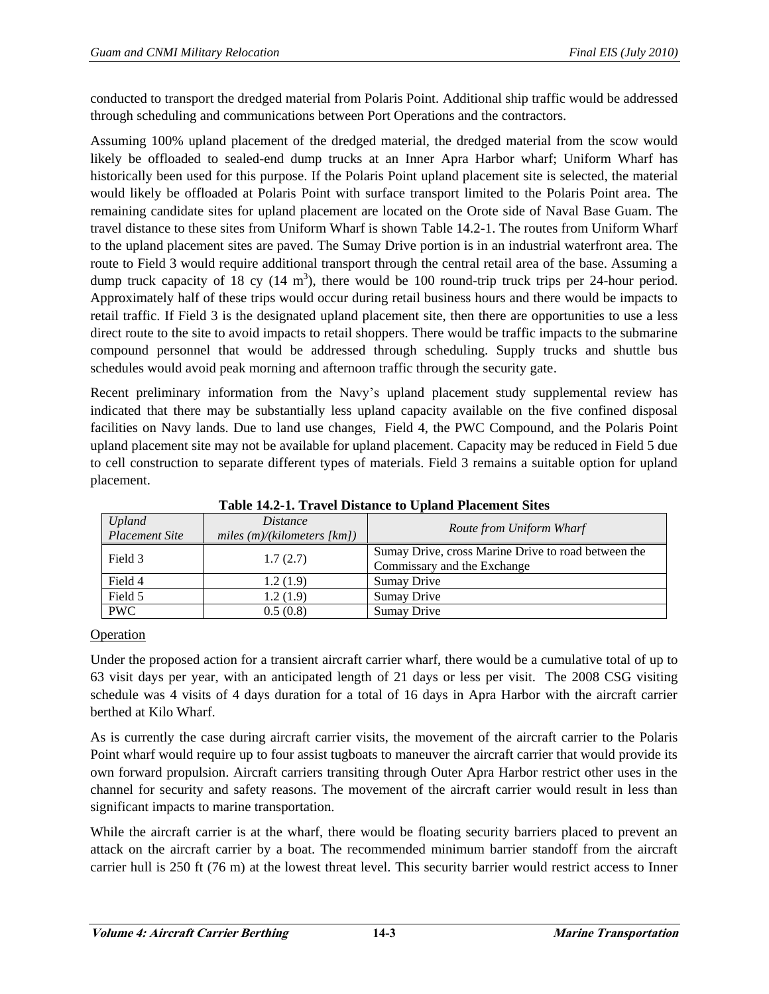conducted to transport the dredged material from Polaris Point. Additional ship traffic would be addressed through scheduling and communications between Port Operations and the contractors.

Assuming 100% upland placement of the dredged material, the dredged material from the scow would likely be offloaded to sealed-end dump trucks at an Inner Apra Harbor wharf; Uniform Wharf has historically been used for this purpose. If the Polaris Point upland placement site is selected, the material would likely be offloaded at Polaris Point with surface transport limited to the Polaris Point area. The remaining candidate sites for upland placement are located on the Orote side of Naval Base Guam. The travel distance to these sites from Uniform Wharf is shown Table 14.2-1. The routes from Uniform Wharf to the upland placement sites are paved. The Sumay Drive portion is in an industrial waterfront area. The route to Field 3 would require additional transport through the central retail area of the base. Assuming a dump truck capacity of 18 cy  $(14 \text{ m}^3)$ , there would be 100 round-trip truck trips per 24-hour period. Approximately half of these trips would occur during retail business hours and there would be impacts to retail traffic. If Field 3 is the designated upland placement site, then there are opportunities to use a less direct route to the site to avoid impacts to retail shoppers. There would be traffic impacts to the submarine compound personnel that would be addressed through scheduling. Supply trucks and shuttle bus schedules would avoid peak morning and afternoon traffic through the security gate.

Recent preliminary information from the Navy's upland placement study supplemental review has indicated that there may be substantially less upland capacity available on the five confined disposal facilities on Navy lands. Due to land use changes, Field 4, the PWC Compound, and the Polaris Point upland placement site may not be available for upland placement. Capacity may be reduced in Field 5 due to cell construction to separate different types of materials. Field 3 remains a suitable option for upland placement.

| <b>Upland</b><br><b>Placement Site</b> | <i>Distance</i><br>miles $(m)/(kilometers$ [km]) | Route from Uniform Wharf                                                           |
|----------------------------------------|--------------------------------------------------|------------------------------------------------------------------------------------|
| Field 3                                | 1.7(2.7)                                         | Sumay Drive, cross Marine Drive to road between the<br>Commissary and the Exchange |
| Field 4                                | 1.2(1.9)                                         | Sumay Drive                                                                        |
| Field 5                                | 1.2(1.9)                                         | Sumay Drive                                                                        |
| <b>PWC</b>                             | 0.5(0.8)                                         | Sumay Drive                                                                        |

**Table 14.2-1. Travel Distance to Upland Placement Sites** 

## **Operation**

Under the proposed action for a transient aircraft carrier wharf, there would be a cumulative total of up to 63 visit days per year, with an anticipated length of 21 days or less per visit. The 2008 CSG visiting schedule was 4 visits of 4 days duration for a total of 16 days in Apra Harbor with the aircraft carrier berthed at Kilo Wharf.

As is currently the case during aircraft carrier visits, the movement of the aircraft carrier to the Polaris Point wharf would require up to four assist tugboats to maneuver the aircraft carrier that would provide its own forward propulsion. Aircraft carriers transiting through Outer Apra Harbor restrict other uses in the channel for security and safety reasons. The movement of the aircraft carrier would result in less than significant impacts to marine transportation.

While the aircraft carrier is at the wharf, there would be floating security barriers placed to prevent an attack on the aircraft carrier by a boat. The recommended minimum barrier standoff from the aircraft carrier hull is 250 ft (76 m) at the lowest threat level. This security barrier would restrict access to Inner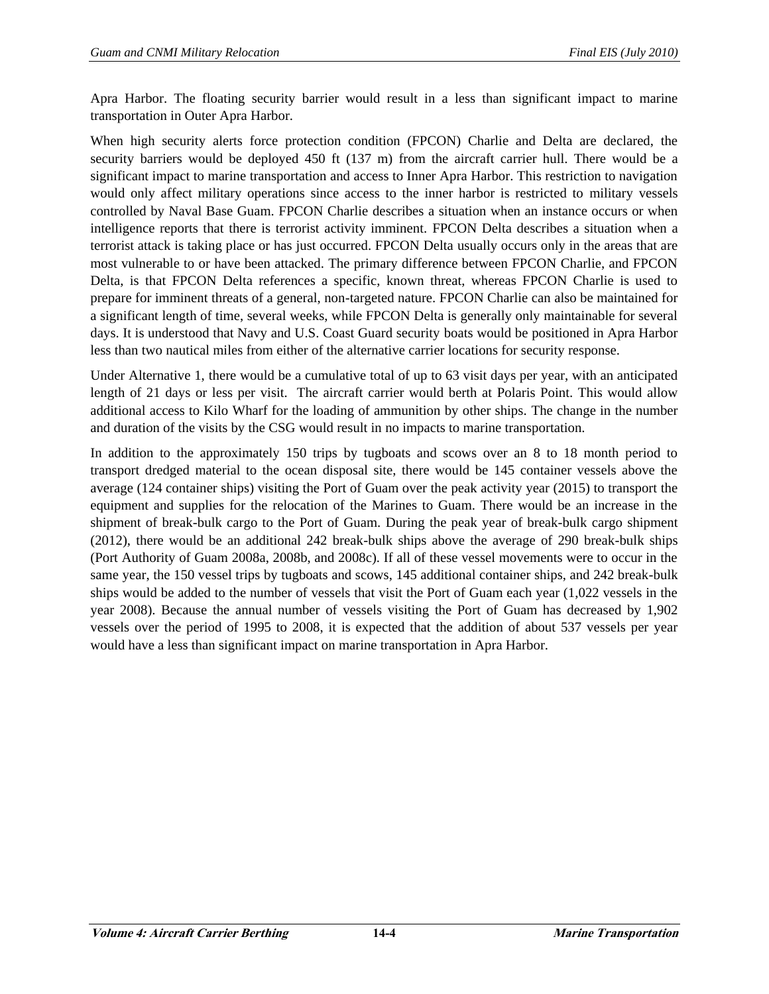Apra Harbor. The floating security barrier would result in a less than significant impact to marine transportation in Outer Apra Harbor.

When high security alerts force protection condition (FPCON) Charlie and Delta are declared, the security barriers would be deployed 450 ft (137 m) from the aircraft carrier hull. There would be a significant impact to marine transportation and access to Inner Apra Harbor. This restriction to navigation would only affect military operations since access to the inner harbor is restricted to military vessels controlled by Naval Base Guam. FPCON Charlie describes a situation when an instance occurs or when intelligence reports that there is terrorist activity imminent. FPCON Delta describes a situation when a terrorist attack is taking place or has just occurred. FPCON Delta usually occurs only in the areas that are most vulnerable to or have been attacked. The primary difference between FPCON Charlie, and FPCON Delta, is that FPCON Delta references a specific, known threat, whereas FPCON Charlie is used to prepare for imminent threats of a general, non-targeted nature. FPCON Charlie can also be maintained for a significant length of time, several weeks, while FPCON Delta is generally only maintainable for several days. It is understood that Navy and U.S. Coast Guard security boats would be positioned in Apra Harbor less than two nautical miles from either of the alternative carrier locations for security response.

Under Alternative 1, there would be a cumulative total of up to 63 visit days per year, with an anticipated length of 21 days or less per visit. The aircraft carrier would berth at Polaris Point. This would allow additional access to Kilo Wharf for the loading of ammunition by other ships. The change in the number and duration of the visits by the CSG would result in no impacts to marine transportation.

In addition to the approximately 150 trips by tugboats and scows over an 8 to 18 month period to transport dredged material to the ocean disposal site, there would be 145 container vessels above the average (124 container ships) visiting the Port of Guam over the peak activity year (2015) to transport the equipment and supplies for the relocation of the Marines to Guam. There would be an increase in the shipment of break-bulk cargo to the Port of Guam. During the peak year of break-bulk cargo shipment (2012), there would be an additional 242 break-bulk ships above the average of 290 break-bulk ships (Port Authority of Guam 2008a, 2008b, and 2008c). If all of these vessel movements were to occur in the same year, the 150 vessel trips by tugboats and scows, 145 additional container ships, and 242 break-bulk ships would be added to the number of vessels that visit the Port of Guam each year (1,022 vessels in the year 2008). Because the annual number of vessels visiting the Port of Guam has decreased by 1,902 vessels over the period of 1995 to 2008, it is expected that the addition of about 537 vessels per year would have a less than significant impact on marine transportation in Apra Harbor.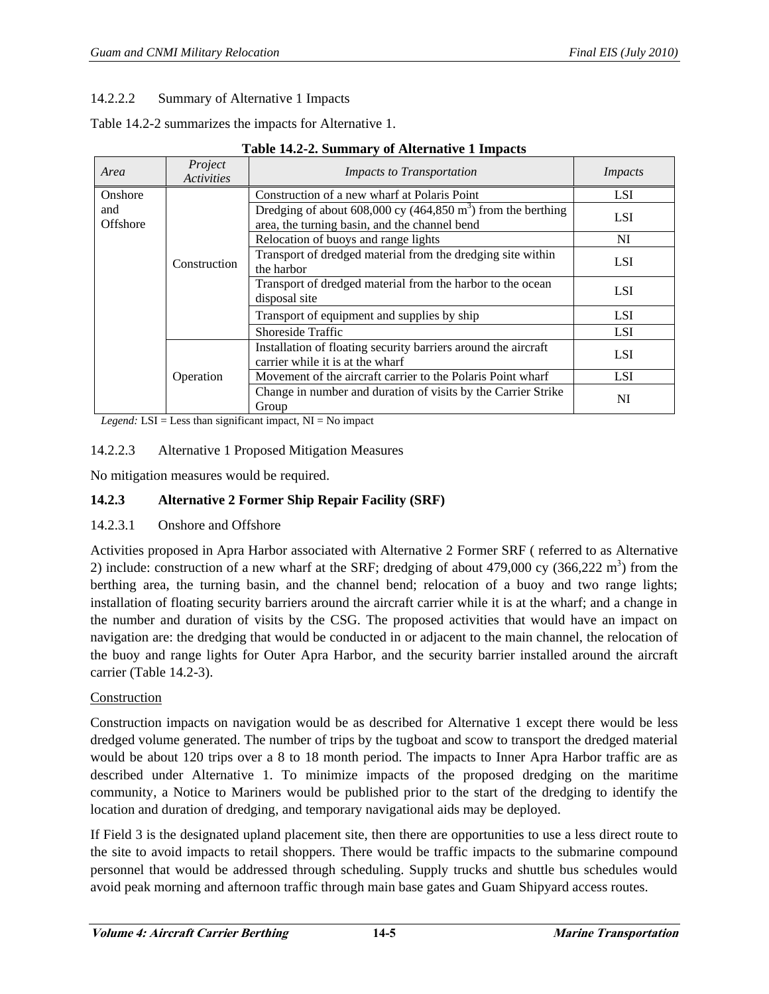## 14.2.2.2 Summary of Alternative 1 Impacts

Table 14.2-2 summarizes the impacts for Alternative 1.

| Area            | Project<br><b>Activities</b> | <b>Impacts to Transportation</b>                                                                                | <i>Impacts</i> |
|-----------------|------------------------------|-----------------------------------------------------------------------------------------------------------------|----------------|
| Onshore         | Construction                 | Construction of a new wharf at Polaris Point                                                                    | <b>LSI</b>     |
| and<br>Offshore |                              | Dredging of about 608,000 cy (464,850 $m3$ ) from the berthing<br>area, the turning basin, and the channel bend | <b>LSI</b>     |
|                 |                              | Relocation of buoys and range lights                                                                            | NI             |
|                 |                              | Transport of dredged material from the dredging site within<br>the harbor                                       | <b>LSI</b>     |
|                 |                              | Transport of dredged material from the harbor to the ocean<br>disposal site                                     | <b>LSI</b>     |
|                 |                              | Transport of equipment and supplies by ship                                                                     | <b>LSI</b>     |
|                 |                              | Shoreside Traffic                                                                                               | <b>LSI</b>     |
|                 | Operation                    | Installation of floating security barriers around the aircraft<br>carrier while it is at the wharf              | <b>LSI</b>     |
|                 |                              | Movement of the aircraft carrier to the Polaris Point wharf                                                     | <b>LSI</b>     |
|                 |                              | Change in number and duration of visits by the Carrier Strike<br>Group                                          | NI             |

#### **Table 14.2-2. Summary of Alternative 1 Impacts**

*Legend:*  $LSI = Less than significant impact, NI = No impact$ 

#### 14.2.2.3 Alternative 1 Proposed Mitigation Measures

No mitigation measures would be required.

### **14.2.3 Alternative 2 Former Ship Repair Facility (SRF)**

#### 14.2.3.1 Onshore and Offshore

Activities proposed in Apra Harbor associated with Alternative 2 Former SRF ( referred to as Alternative 2) include: construction of a new wharf at the SRF; dredging of about 479,000 cy  $(366,222 \text{ m}^3)$  from the berthing area, the turning basin, and the channel bend; relocation of a buoy and two range lights; installation of floating security barriers around the aircraft carrier while it is at the wharf; and a change in the number and duration of visits by the CSG. The proposed activities that would have an impact on navigation are: the dredging that would be conducted in or adjacent to the main channel, the relocation of the buoy and range lights for Outer Apra Harbor, and the security barrier installed around the aircraft carrier (Table 14.2-3).

#### Construction

Construction impacts on navigation would be as described for Alternative 1 except there would be less dredged volume generated. The number of trips by the tugboat and scow to transport the dredged material would be about 120 trips over a 8 to 18 month period. The impacts to Inner Apra Harbor traffic are as described under Alternative 1. To minimize impacts of the proposed dredging on the maritime community, a Notice to Mariners would be published prior to the start of the dredging to identify the location and duration of dredging, and temporary navigational aids may be deployed.

If Field 3 is the designated upland placement site, then there are opportunities to use a less direct route to the site to avoid impacts to retail shoppers. There would be traffic impacts to the submarine compound personnel that would be addressed through scheduling. Supply trucks and shuttle bus schedules would avoid peak morning and afternoon traffic through main base gates and Guam Shipyard access routes.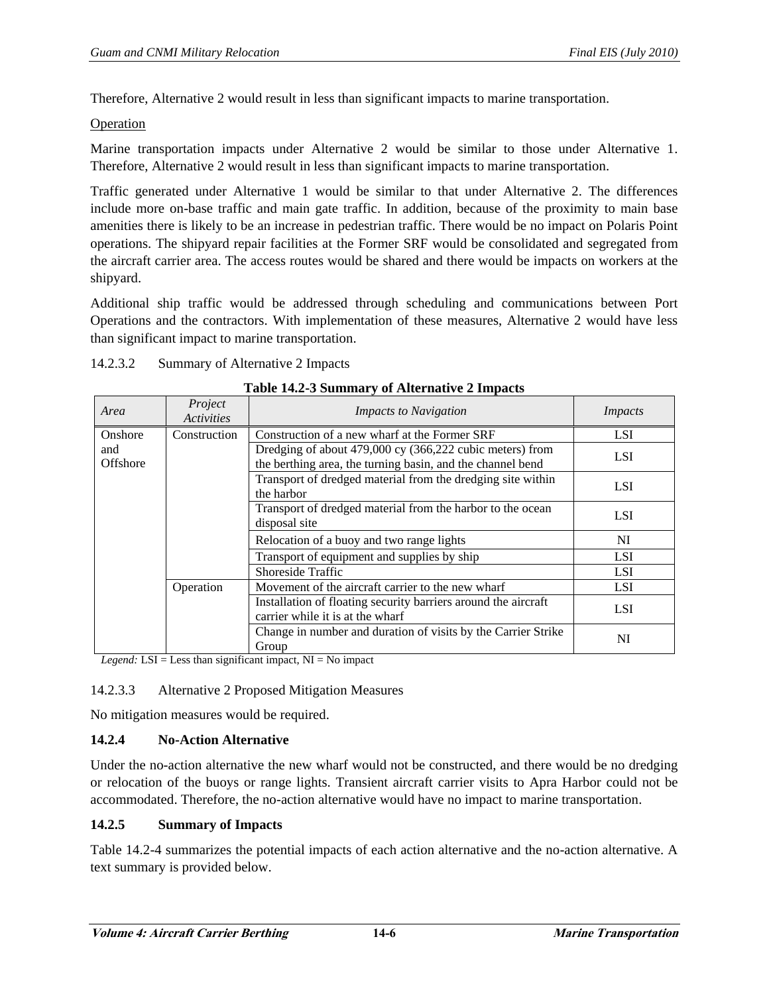Therefore, Alternative 2 would result in less than significant impacts to marine transportation.

**Operation** 

Marine transportation impacts under Alternative 2 would be similar to those under Alternative 1. Therefore, Alternative 2 would result in less than significant impacts to marine transportation.

Traffic generated under Alternative 1 would be similar to that under Alternative 2. The differences include more on-base traffic and main gate traffic. In addition, because of the proximity to main base amenities there is likely to be an increase in pedestrian traffic. There would be no impact on Polaris Point operations. The shipyard repair facilities at the Former SRF would be consolidated and segregated from the aircraft carrier area. The access routes would be shared and there would be impacts on workers at the shipyard.

Additional ship traffic would be addressed through scheduling and communications between Port Operations and the contractors. With implementation of these measures, Alternative 2 would have less than significant impact to marine transportation.

| 14.2.3.2 | Summary of Alternative 2 Impacts |
|----------|----------------------------------|
|----------|----------------------------------|

| Area               | Project<br><b>Activities</b> | <b>Impacts to Navigation</b>                                                                                           | <i>Impacts</i> |
|--------------------|------------------------------|------------------------------------------------------------------------------------------------------------------------|----------------|
| Onshore            | Construction                 | Construction of a new wharf at the Former SRF                                                                          | <b>LSI</b>     |
| and<br>Offshore    |                              | Dredging of about 479,000 cy (366,222 cubic meters) from<br>the berthing area, the turning basin, and the channel bend | <b>LSI</b>     |
|                    |                              | Transport of dredged material from the dredging site within<br>the harbor                                              | <b>LSI</b>     |
|                    |                              | Transport of dredged material from the harbor to the ocean<br>disposal site                                            |                |
|                    |                              | Relocation of a buoy and two range lights                                                                              | NI             |
|                    |                              | Transport of equipment and supplies by ship                                                                            | <b>LSI</b>     |
|                    |                              | Shoreside Traffic                                                                                                      | <b>LSI</b>     |
|                    | Operation                    | Movement of the aircraft carrier to the new wharf                                                                      | <b>LSI</b>     |
|                    |                              | Installation of floating security barriers around the aircraft<br>carrier while it is at the wharf                     | <b>LSI</b>     |
| $1$ T $\alpha$ T T | $\cdot$ 1                    | Change in number and duration of visits by the Carrier Strike<br>Group<br>$\mathbf{X}$                                 | NI             |

*Legend:* LSI = Less than significant impact, NI = No impact

#### 14.2.3.3 Alternative 2 Proposed Mitigation Measures

No mitigation measures would be required.

#### **14.2.4 No-Action Alternative**

Under the no-action alternative the new wharf would not be constructed, and there would be no dredging or relocation of the buoys or range lights. Transient aircraft carrier visits to Apra Harbor could not be accommodated. Therefore, the no-action alternative would have no impact to marine transportation.

#### **14.2.5 Summary of Impacts**

Table 14.2-4 summarizes the potential impacts of each action alternative and the no-action alternative. A text summary is provided below.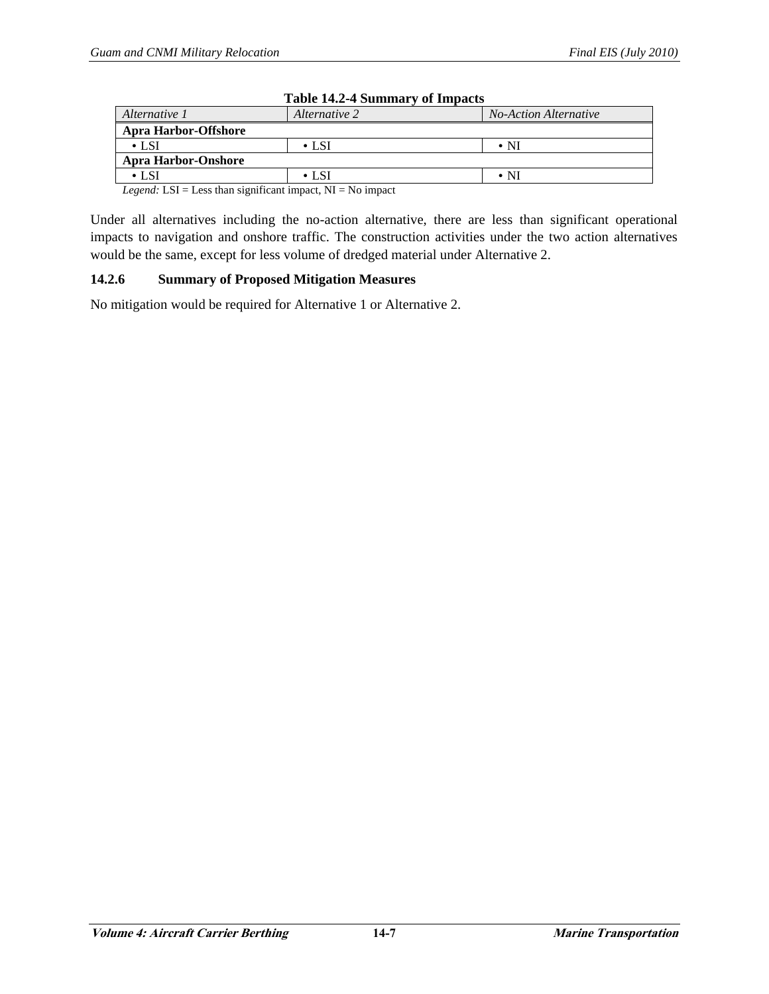| Table 14.2-4 Summary of Impacts |               |                              |  |  |  |
|---------------------------------|---------------|------------------------------|--|--|--|
| Alternative 1                   | Alternative 2 | <b>No-Action Alternative</b> |  |  |  |
| <b>Apra Harbor-Offshore</b>     |               |                              |  |  |  |
| $\cdot$ LSI                     | $\cdot$ LSI   | $\boldsymbol{\cdot}$ NI      |  |  |  |
| <b>Apra Harbor-Onshore</b>      |               |                              |  |  |  |
| • LSI                           | $\cdot$ I SI  | $\bullet$ NI                 |  |  |  |

# **Table 14.2-4 Summary of Impacts**

*Legend:* LSI = Less than significant impact, NI = No impact

Under all alternatives including the no-action alternative, there are less than significant operational impacts to navigation and onshore traffic. The construction activities under the two action alternatives would be the same, except for less volume of dredged material under Alternative 2.

#### **14.2.6 Summary of Proposed Mitigation Measures**

No mitigation would be required for Alternative 1 or Alternative 2.